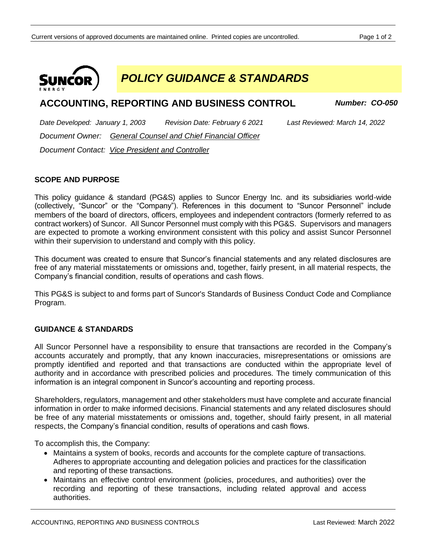

*POLICY GUIDANCE & STANDARDS*

# **ACCOUNTING, REPORTING AND BUSINESS CONTROL** *Number: CO-050*

*Date Developed: January 1, 2003 Revision Date: February 6 2021 Last Reviewed: March 14, 2022 Document Owner: General Counsel and Chief Financial Officer Document Contact: Vice President and Controller*

## **SCOPE AND PURPOSE**

This policy guidance & standard (PG&S) applies to Suncor Energy Inc. and its subsidiaries world-wide (collectively, "Suncor" or the "Company"). References in this document to "Suncor Personnel" include members of the board of directors, officers, employees and independent contractors (formerly referred to as contract workers) of Suncor. All Suncor Personnel must comply with this PG&S. Supervisors and managers are expected to promote a working environment consistent with this policy and assist Suncor Personnel within their supervision to understand and comply with this policy.

This document was created to ensure that Suncor's financial statements and any related disclosures are free of any material misstatements or omissions and, together, fairly present, in all material respects, the Company's financial condition, results of operations and cash flows.

This PG&S is subject to and forms part of Suncor's Standards of Business Conduct Code and Compliance Program.

#### **GUIDANCE & STANDARDS**

All Suncor Personnel have a responsibility to ensure that transactions are recorded in the Company's accounts accurately and promptly, that any known inaccuracies, misrepresentations or omissions are promptly identified and reported and that transactions are conducted within the appropriate level of authority and in accordance with prescribed policies and procedures. The timely communication of this information is an integral component in Suncor's accounting and reporting process.

Shareholders, regulators, management and other stakeholders must have complete and accurate financial information in order to make informed decisions. Financial statements and any related disclosures should be free of any material misstatements or omissions and, together, should fairly present, in all material respects, the Company's financial condition, results of operations and cash flows.

To accomplish this, the Company:

- Maintains a system of books, records and accounts for the complete capture of transactions. Adheres to appropriate accounting and delegation policies and practices for the classification and reporting of these transactions.
- Maintains an effective control environment (policies, procedures, and authorities) over the recording and reporting of these transactions, including related approval and access authorities.